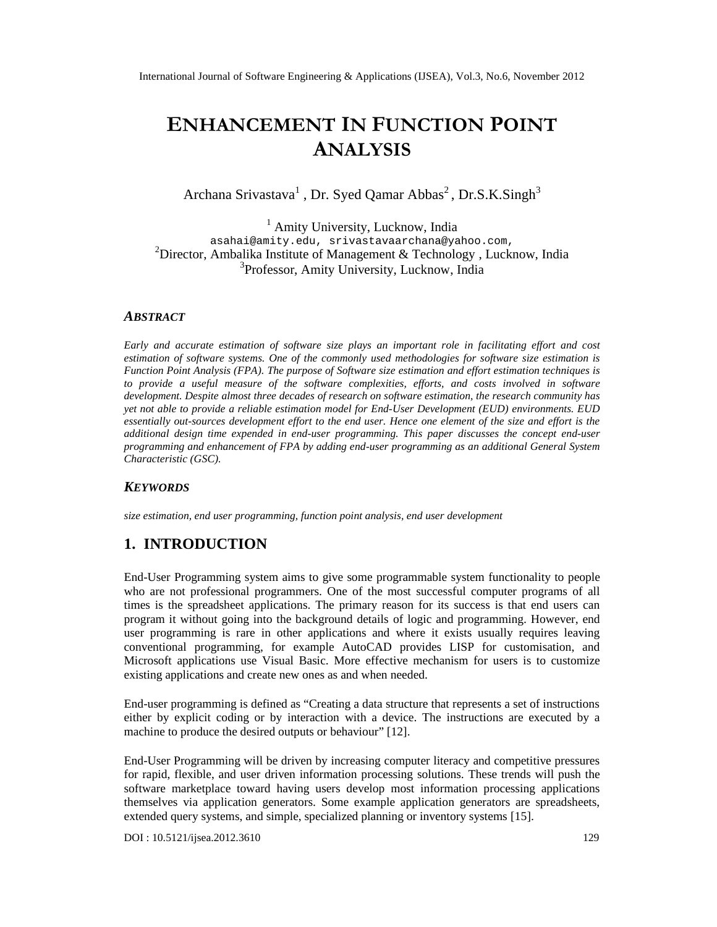# ENHANCEMENT FUNCTIONPOINT ANALYSIS

# Archana Srivastav<sup>1</sup>a Dr. Syed Qamar AbbåsDr.S.K.Singh

 $<sup>1</sup>$  Amity University, Lucknow India</sup> [asahai@amity.edu](mailto:asahai@amity.edu) , srivastavaa [rchana@yahoo.com](mailto:srivastavaarchana@yahoo.com) , <sup>2</sup>Director, Ambalika Institute of Management & Technolodyucknow, India <sup>3</sup>Professor, Amity University, Lucknow, India

#### ABSTRACT

Early and accurate estimation of software size playsimportantrole in facilitating effort and cost estimation of software systems. One of dommonlyused methodologies for software size estimation is Function Point Analysis (FPA).The purpose of Software sizestimationand effort estimation techniquess to provide a useful measure of thesoftware complexities, efforts, and costs involved enoftware development. Despite most three decades of research on software estimation, the research community has yetnot ableto provide areliable estimatiormodel for EneUser Development (EUD) environments. EUD essentially outsources development effort to the end user. Hence one element of the size and effort is the additional design time expended in eurser programming. This paper discusses the conceptusend programming and enhancement of FPA by adding es at programming as an additional General System Characteristic (GSC).

#### **KEYWORDS**

size estimation, end user programming, function point analysis, end user development

## 1. INTRODUCTION

End-User Programming system aims to give some programmable system rigitatico people who are not professional programmers. One of the most successful computer programs of all times is the spreadsheet applications. The primary reason for its success is that end users can program it without going into the background detail social and programming. However, end user programming is rare in other applications and where it exists usually requires leaving conventional programming, for example AutoCAD provides LISP for customisation, and Microsoft applications use Visual Basic. olto effective mechanism for users is to customize existing applications and create new ones as and when needed.

End-user programming is defined as €Creating a data structure that represents a set of instructions either by explicit coding or by interaction with a device. The instructions are executed by a machine to produce the desired output behaviour [12].

End-User Programming will be driven by increasing computer literacy and competitive pressures for rapid, flexible, and user driven information pessing solutions. These trends will push the software marketplace toward having users develop most information processing applications themselves via application generators. Some example application generators are spreadsheets, extended query systems, dasimple, specialized planning or inventory systems.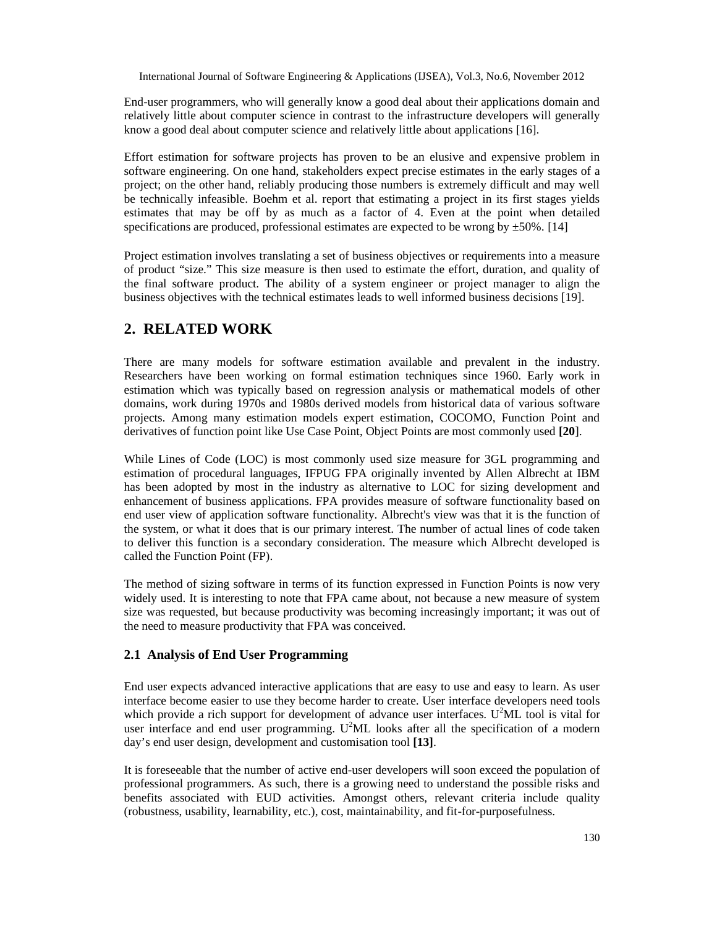End-user programmers, who will generally know a good deal about their applications domain and relatively little about computer science in contrast to the infrastructure developers will generally know a good deal about computer science and relatively little about applications [16].

Effort estimation for software projects has proven to be an elusive and expensive problem in software engineering. On one hand, stakeholders expect precise estimates in the early stages of a project; on the other hand, reliably producing those numbers is extremely difficult and may well be technically infeasible. Boehm et al. report that estimating a project in its first stages yields estimates that may be off by as much as a factor of 4. Even at the point when detailed specifications are produced, professional estimates are expected to be wrong by  $\pm 50\%$ . [14]

Project estimation involves translating a set of business objectives or requirements into a measure of product "size." This size measure is then used to estimate the effort, duration, and quality of the final software product. The ability of a system engineer or project manager to align the business objectives with the technical estimates leads to well informed business decisions [19].

# **2. RELATED WORK**

There are many models for software estimation available and prevalent in the industry. Researchers have been working on formal estimation techniques since 1960. Early work in estimation which was typically based on regression analysis or mathematical models of other domains, work during 1970s and 1980s derived models from historical data of various software projects. Among many estimation models expert estimation, COCOMO, Function Point and derivatives of function point like Use Case Point, Object Points are most commonly used **[20**].

While Lines of Code (LOC) is most commonly used size measure for 3GL programming and estimation of procedural languages, IFPUG FPA originally invented by Allen Albrecht at IBM has been adopted by most in the industry as alternative to LOC for sizing development and enhancement of business applications. FPA provides measure of software functionality based on end user view of application software functionality. Albrecht's view was that it is the function of the system, or what it does that is our primary interest. The number of actual lines of code taken to deliver this function is a secondary consideration. The measure which Albrecht developed is called the Function Point (FP).

The method of sizing software in terms of its function expressed in Function Points is now very widely used. It is interesting to note that FPA came about, not because a new measure of system size was requested, but because productivity was becoming increasingly important; it was out of the need to measure productivity that FPA was conceived.

## **2.1 Analysis of End User Programming**

End user expects advanced interactive applications that are easy to use and easy to learn. As user interface become easier to use they become harder to create. User interface developers need tools which provide a rich support for development of advance user interfaces.  $U^2ML$  tool is vital for user interface and end user programming.  $U^2ML$  looks after all the specification of a modern day's end user design, development and customisation tool **[13]**.

It is foreseeable that the number of active end-user developers will soon exceed the population of professional programmers. As such, there is a growing need to understand the possible risks and benefits associated with EUD activities. Amongst others, relevant criteria include quality (robustness, usability, learnability, etc.), cost, maintainability, and fit-for-purposefulness.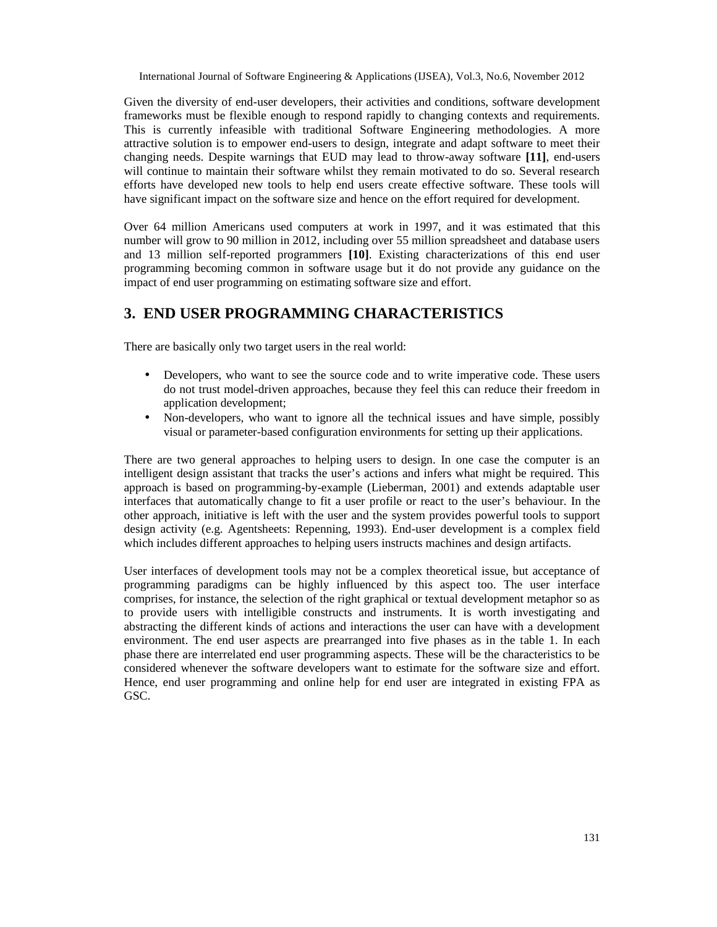Given the diversity of end-user developers, their activities and conditions, software development frameworks must be flexible enough to respond rapidly to changing contexts and requirements. This is currently infeasible with traditional Software Engineering methodologies. A more attractive solution is to empower end-users to design, integrate and adapt software to meet their changing needs. Despite warnings that EUD may lead to throw-away software **[11]**, end-users will continue to maintain their software whilst they remain motivated to do so. Several research efforts have developed new tools to help end users create effective software. These tools will have significant impact on the software size and hence on the effort required for development.

Over 64 million Americans used computers at work in 1997, and it was estimated that this number will grow to 90 million in 2012, including over 55 million spreadsheet and database users and 13 million self-reported programmers **[10]**. Existing characterizations of this end user programming becoming common in software usage but it do not provide any guidance on the impact of end user programming on estimating software size and effort.

# **3. END USER PROGRAMMING CHARACTERISTICS**

There are basically only two target users in the real world:

- Developers, who want to see the source code and to write imperative code. These users do not trust model-driven approaches, because they feel this can reduce their freedom in application development;
- Non-developers, who want to ignore all the technical issues and have simple, possibly visual or parameter-based configuration environments for setting up their applications.

There are two general approaches to helping users to design. In one case the computer is an intelligent design assistant that tracks the user's actions and infers what might be required. This approach is based on programming-by-example (Lieberman, 2001) and extends adaptable user interfaces that automatically change to fit a user profile or react to the user's behaviour. In the other approach, initiative is left with the user and the system provides powerful tools to support design activity (e.g. Agentsheets: Repenning, 1993). End-user development is a complex field which includes different approaches to helping users instructs machines and design artifacts.

User interfaces of development tools may not be a complex theoretical issue, but acceptance of programming paradigms can be highly influenced by this aspect too. The user interface comprises, for instance, the selection of the right graphical or textual development metaphor so as to provide users with intelligible constructs and instruments. It is worth investigating and abstracting the different kinds of actions and interactions the user can have with a development environment. The end user aspects are prearranged into five phases as in the table 1. In each phase there are interrelated end user programming aspects. These will be the characteristics to be considered whenever the software developers want to estimate for the software size and effort. Hence, end user programming and online help for end user are integrated in existing FPA as GSC.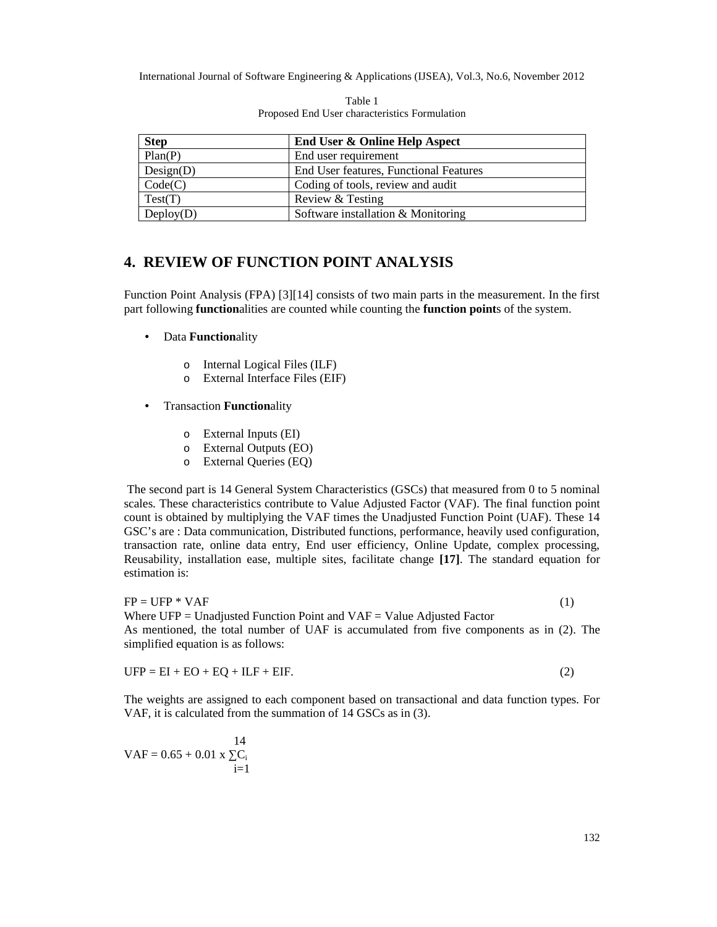| <b>Step</b> | <b>End User &amp; Online Help Aspect</b> |
|-------------|------------------------------------------|
| Plan(P)     | End user requirement                     |
| Design(D)   | End User features, Functional Features   |
| Code(C)     | Coding of tools, review and audit        |
| Test(T)     | Review & Testing                         |
| Deploy(D)   | Software installation & Monitoring       |

Table 1 Proposed End User characteristics Formulation

## **4. REVIEW OF FUNCTION POINT ANALYSIS**

Function Point Analysis (FPA) [3][14] consists of two main parts in the measurement. In the first part following **function**alities are counted while counting the **function point**s of the system.

- Data **Function**ality
	- o Internal Logical Files (ILF)
	- o External Interface Files (EIF)
- Transaction **Function**ality
	- o External Inputs (EI)
	- o External Outputs (EO)
	- o External Queries (EQ)

The second part is 14 General System Characteristics (GSCs) that measured from 0 to 5 nominal scales. These characteristics contribute to Value Adjusted Factor (VAF). The final function point count is obtained by multiplying the VAF times the Unadjusted Function Point (UAF). These 14 GSC's are : Data communication, Distributed functions, performance, heavily used configuration, transaction rate, online data entry, End user efficiency, Online Update, complex processing, Reusability, installation ease, multiple sites, facilitate change **[17]**. The standard equation for estimation is:

 $FP = UFP * VAF$  (1) Where  $UFP =$  Unadjusted Function Point and  $VAF =$  Value Adjusted Factor As mentioned, the total number of UAF is accumulated from five components as in (2). The simplified equation is as follows:

 $UFP = EI + EO + EQ + ILF + EIF.$  (2)

The weights are assigned to each component based on transactional and data function types. For VAF, it is calculated from the summation of 14 GSCs as in (3).

14  $VAF = 0.65 + 0.01$  x  $C_i$  $i=1$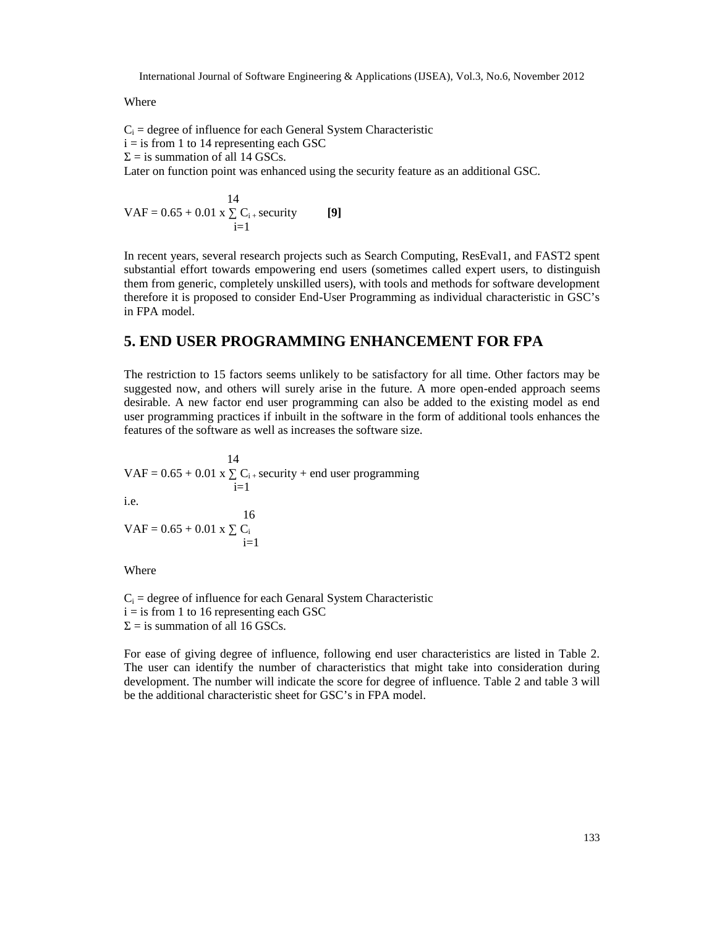Where

 $C_i$  = degree of influence for each General System Characteristic  $i =$  is from 1 to 14 representing each GSC  $=$  is summation of all 14 GSCs.

Later on function point was enhanced using the security feature as an additional GSC.

$$
VAF = 0.65 + 0.01 \times \begin{cases} 14 \\ C_{i+} \text{ security} \\ i=1 \end{cases} [9]
$$

In recent years, several research projects such as Search Computing, ResEval1, and FAST2 spent substantial effort towards empowering end users (sometimes called expert users, to distinguish them from generic, completely unskilled users), with tools and methods for software development therefore it is proposed to consider End-User Programming as individual characteristic in GSC's in FPA model.

## **5. END USER PROGRAMMING ENHANCEMENT FOR FPA**

The restriction to 15 factors seems unlikely to be satisfactory for all time. Other factors may be suggested now, and others will surely arise in the future. A more open-ended approach seems desirable. A new factor end user programming can also be added to the existing model as end user programming practices if inbuilt in the software in the form of additional tools enhances the features of the software as well as increases the software size.

14  $VAF = 0.65 + 0.01$  x  $C_{i+}$  security + end user programming  $i=1$ i.e. 16  $VAF = 0.65 + 0.01$  x  $C_i$  $i=1$ 

Where

 $C_i$  = degree of influence for each Genaral System Characteristic  $i =$  is from 1 to 16 representing each GSC  $=$  is summation of all 16 GSCs.

For ease of giving degree of influence, following end user characteristics are listed in Table 2. The user can identify the number of characteristics that might take into consideration during development. The number will indicate the score for degree of influence. Table 2 and table 3 will be the additional characteristic sheet for GSC's in FPA model.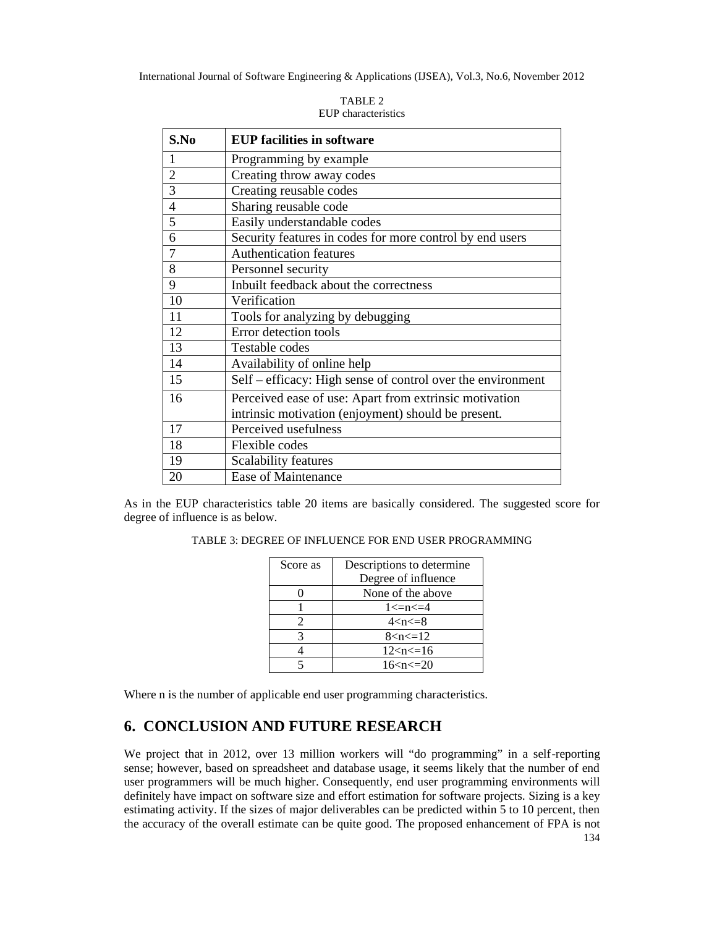| S.No           | <b>EUP facilities in software</b>                           |
|----------------|-------------------------------------------------------------|
| 1              | Programming by example                                      |
| $\overline{2}$ | Creating throw away codes                                   |
| 3              | Creating reusable codes                                     |
| $\overline{4}$ | Sharing reusable code                                       |
| 5              | Easily understandable codes                                 |
| 6              | Security features in codes for more control by end users    |
| 7              | <b>Authentication features</b>                              |
| 8              | Personnel security                                          |
| 9              | Inbuilt feedback about the correctness                      |
| 10             | Verification                                                |
| 11             | Tools for analyzing by debugging                            |
| 12             | Error detection tools                                       |
| 13             | Testable codes                                              |
| 14             | Availability of online help                                 |
| 15             | Self - efficacy: High sense of control over the environment |
| 16             | Perceived ease of use: Apart from extrinsic motivation      |
|                | intrinsic motivation (enjoyment) should be present.         |
| 17             | Perceived usefulness                                        |
| 18             | Flexible codes                                              |
| 19             | Scalability features                                        |
| 20             | Ease of Maintenance                                         |

TABLE 2 EUP characteristics

As in the EUP characteristics table 20 items are basically considered. The suggested score for degree of influence is as below.

| Score as | Descriptions to determine |
|----------|---------------------------|
|          | Degree of influence       |
|          | None of the above         |
|          | $1 \le n \le 4$           |
|          | $4 < n < = 8$             |
|          | 8 < n < 12                |
|          | 12 < n < 16               |
|          | 16 < n < 20               |

TABLE 3: DEGREE OF INFLUENCE FOR END USER PROGRAMMING

Where n is the number of applicable end user programming characteristics.

## **6. CONCLUSION AND FUTURE RESEARCH**

We project that in 2012, over 13 million workers will "do programming" in a self-reporting sense; however, based on spreadsheet and database usage, it seems likely that the number of end user programmers will be much higher. Consequently, end user programming environments will definitely have impact on software size and effort estimation for software projects. Sizing is a key estimating activity. If the sizes of major deliverables can be predicted within 5 to 10 percent, then the accuracy of the overall estimate can be quite good. The proposed enhancement of FPA is not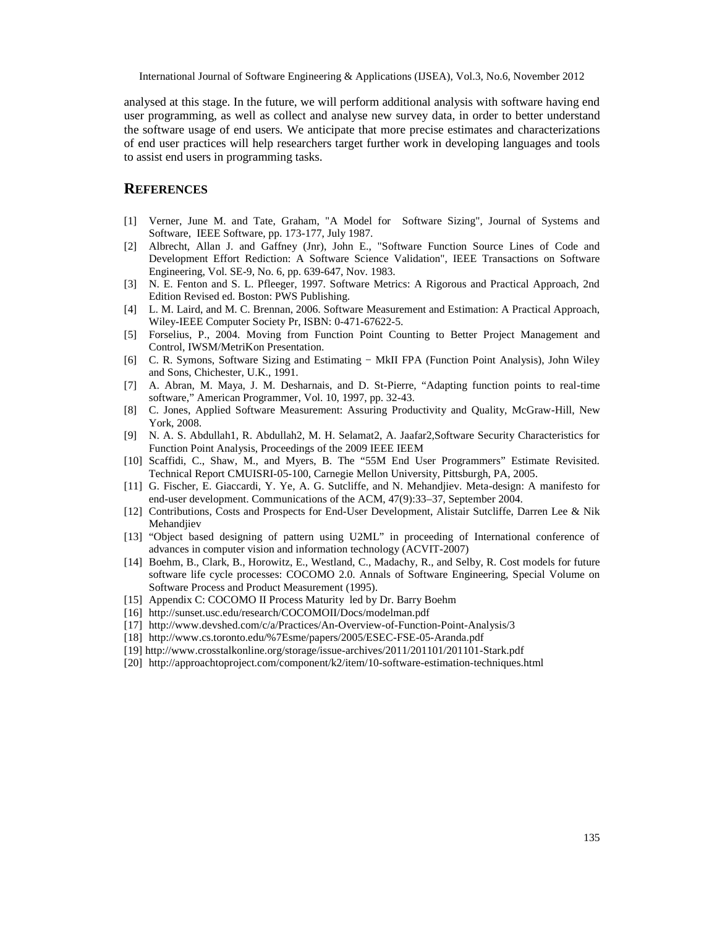analysedat this stage. In the future, we will perform additional analysis with software having end user programming, as well as collect and alysenew survey data, in order to the understand the software usage of end users. We anticipate that more precise estimates and characterizations of end user practices will help researchers target further work in developing languages and tools to assist end users in programming tasks.

## **REFERENCES**

- [1] Verner, June M. and Tate, Graham, "A Model for Software Sizing", Journal of Systems and Software, IEEE Software, pp. 1-7377, July 1987.
- [2] Albrecht, Allan J. and Gaffney (Jnr), John E., "Software Function Source Lines of Code and Development Effort Rediction: A Software Science Validation", IEEE Transactions on Software Engineering, Vol. SE9, No. 6, pp. 634647, Nov. 1983.
- [3] N. E. Fenton and S. L. Pfleeger, 1997. Software Metrics: A Rigorous and Practical Approach, 2nd Edition Reviseded. Boston: PWS Publishing.
- [4] L. M. Laird, and M. C. Brennan, 2006. Software Measurement and Estimation: A Practical Approach, Wiley-IEEE Computer Society Pr, ISBN: 471-676225.
- [5] Forselius, P., 2004. Moving from Function Point Counting to BetterieRt Management and Control, IWSM/MetriKon Presentation.
- [6] C. R. Symons, Software Sizing and Estimath MkII FPA (Function Point Analysis), John Wiley and Sons, Chichester, U.K., 1991.
- [7] A. Abran, M. Maya, J. M. Desharnais, and D. Beaure,  $\epsilon$ Adapting function points to retante software,• American Programmerol. 10, 1997, pp. 323.
- [8] C. Jones, Applied Software Measurement: Assuring Productivity and Quality, Met Gillew is York, 2008.
- [9] N. A. S. Abdullah1, R. Abdullah2, M. H. Selamat2, A. Jaafar2,Software Security Characteristics for Function Point Aalysis, Proceedings of the 2009 IEEE IEEM
- [10] Scaffidi, C., Shaw, M., and Myers, B. The €55M End User Programmers• Estimate Revisited. Technical Report CMUISR05-100, Carnegie Mellon University, Pittsburgh, PA, 2005.
- [11] G. Fischer, E. Giaccardi, Y. Y&. G. Sutcliffe, and N. Mehandjiev. Metasign: A manifesto for enduser development. Communications of the ACM, 47(9)333 September 2004.
- [12] Contributions, Costs and Prospects for Erster Development, Alistair Sutcliffe, Darren Lee & Nik Mehandjev
- [13] €Object based designing of pattern using U2ML• in proceeding of International conference of advances in computer vision and information technology (AC2007)
- [14] Boehm, B., Clark, B., Horowitz, E., Westland, C., Madachy, R., and Selby, R. Colet strive future software life cycle processes: COCOMO 2.0. Annals of Software Engineering, Special Volume on Software Process and Product Measurement (1995).
- [15] Appendix C: COCOMO II Process Maturity led by Dr. Barry Boehm
- [16] http://sunset.usc.edusearch/COCOMOII/Docs/modelman.pdf
- [17] http://www.devshed.com/c/a/Practices/Awerview-of-Function-Point-Analysis/3
- [18] http://www.cs.toronto.edu/%7Esme/papers/2005/ESBE05-Aranda.pdf
- [19] http://www.crosstalkonline.org/storage/issarehives/2011/201101/20114Stark.pdf
- [20] http://approachtoproject.com/component/k2/itemstottwareestimationtechniques.html